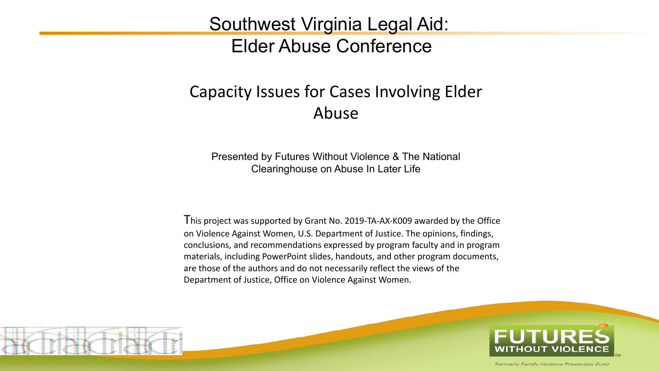#### Southwest Virginia Legal Aid: Elder Abuse Conference

#### Capacity Issues for Cases Involving Elder Abuse

Presented by Futures Without Violence & The National Clearinghouse on Abuse In Later Life

This project was supported by Grant No. 2019-TA-AX-K009 awarded by the Office on Violence Against Women, U.S. Department of Justice. The opinions, findings, conclusions, and recommendations expressed by program faculty and in program materials, including PowerPoint slides, handouts, and other program documents, are those of the authors and do not necessarily reflect the views of the Department of Justice, Office on Violence Against Women.

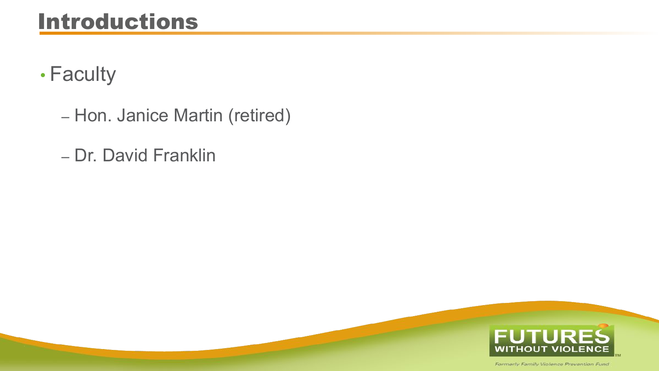#### Introductions

- Faculty
	- Hon. Janice Martin (retired)
	- Dr. David Franklin

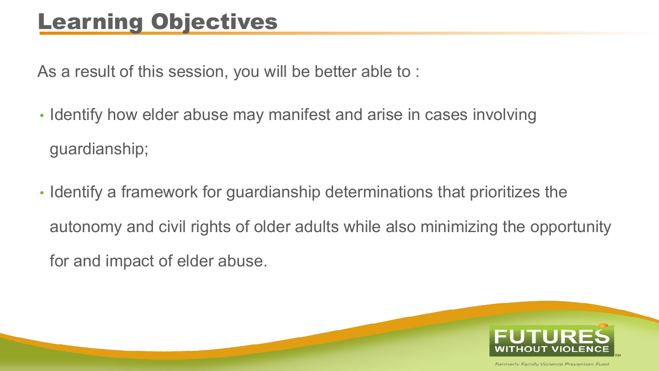#### Learning Objectives

As a result of this session, you will be better able to :

- Identify how elder abuse may manifest and arise in cases involving guardianship;
- Identify a framework for guardianship determinations that prioritizes the autonomy and civil rights of older adults while also minimizing the opportunity for and impact of elder abuse.

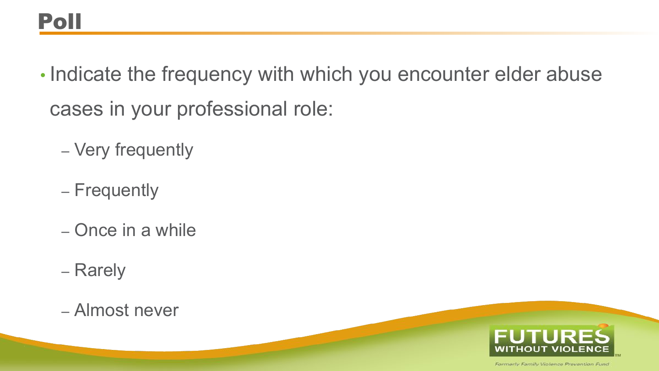- Indicate the frequency with which you encounter elder abuse cases in your professional role:
	- Very frequently
	- Frequently
	- Once in a while
	- Rarely
	- Almost never

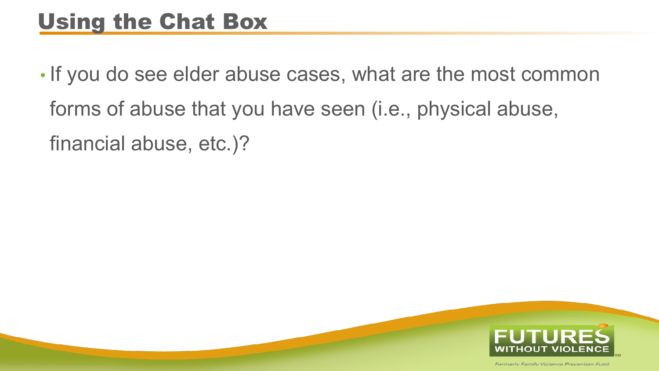#### Using the Chat Box

• If you do see elder abuse cases, what are the most common forms of abuse that you have seen (i.e., physical abuse, financial abuse, etc.)?

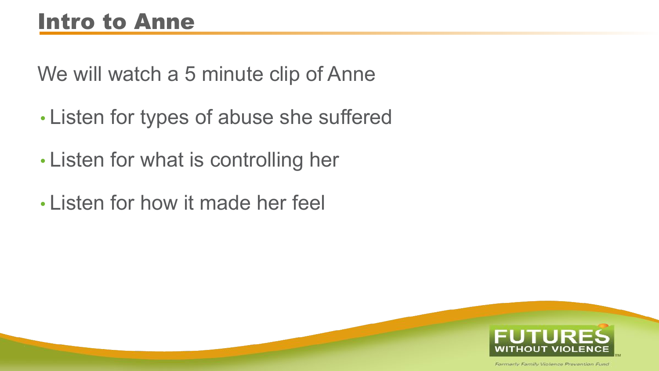### Intro to Anne

We will watch a 5 minute clip of Anne

- Listen for types of abuse she suffered
- Listen for what is controlling her
- Listen for how it made her feel

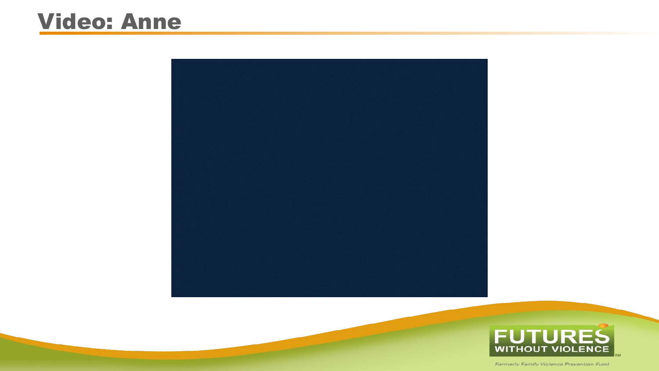#### Video: Anne



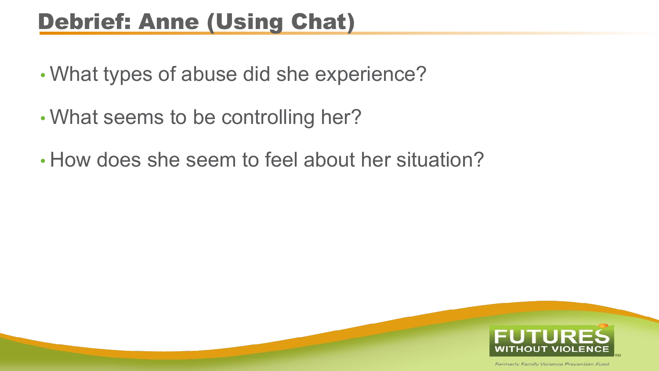#### Debrief: Anne (Using Chat)

- What types of abuse did she experience?
- What seems to be controlling her?
- How does she seem to feel about her situation?

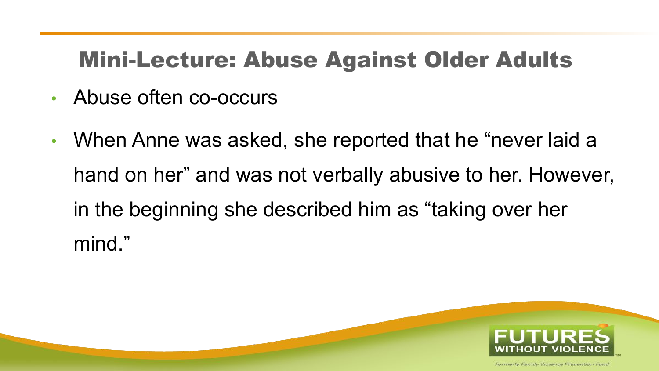#### Mini-Lecture: Abuse Against Older Adults

- Abuse often co-occurs
- When Anne was asked, she reported that he "never laid a hand on her" and was not verbally abusive to her. However, in the beginning she described him as "taking over her mind."

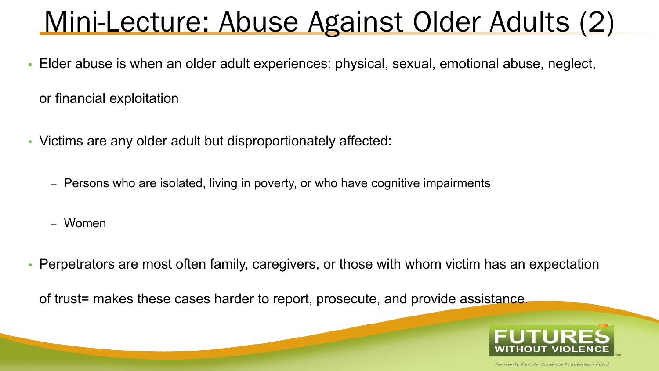# Mini-Lecture: Abuse Against Older Adults (2)

- Elder abuse is when an older adult experiences: physical, sexual, emotional abuse, neglect, or financial exploitation
- Victims are any older adult but disproportionately affected:
	- Persons who are isolated, living in poverty, or who have cognitive impairments
	- Women
- Perpetrators are most often family, caregivers, or those with whom victim has an expectation

of trust= makes these cases harder to report, prosecute, and provide assistance.

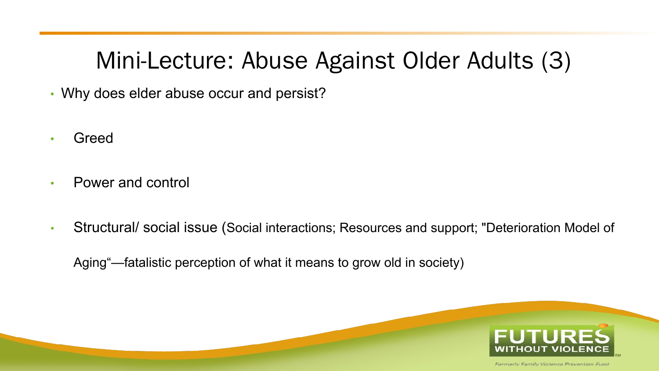#### Mini-Lecture: Abuse Against Older Adults (3)

- Why does elder abuse occur and persist?
- **Greed**
- Power and control
- Structural/ social issue (Social interactions; Resources and support; "Deterioration Model of

Aging"—fatalistic perception of what it means to grow old in society)

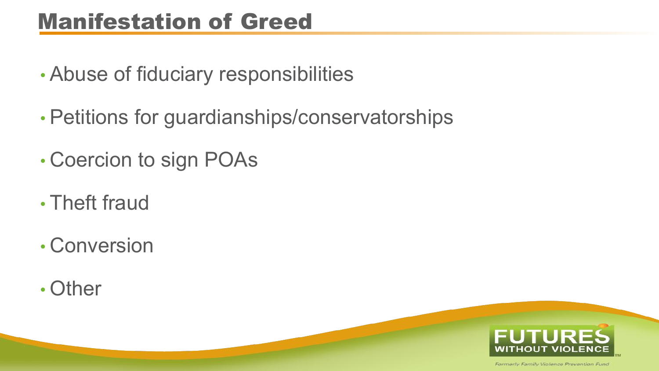#### Manifestation of Greed

- Abuse of fiduciary responsibilities
- Petitions for guardianships/conservatorships
- Coercion to sign POAs
- Theft fraud
- Conversion
- Other

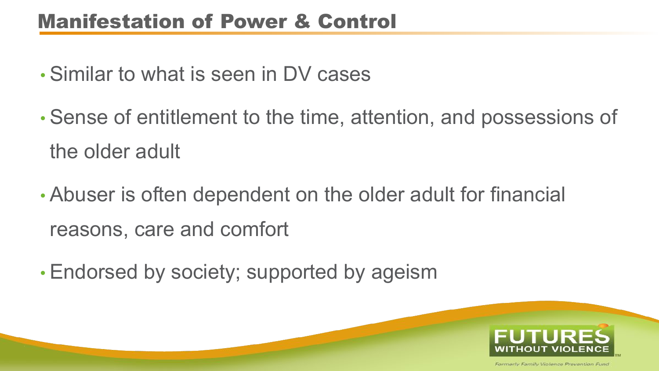#### Manifestation of Power & Control

- Similar to what is seen in DV cases
- Sense of entitlement to the time, attention, and possessions of the older adult
- Abuser is often dependent on the older adult for financial reasons, care and comfort
- Endorsed by society; supported by ageism

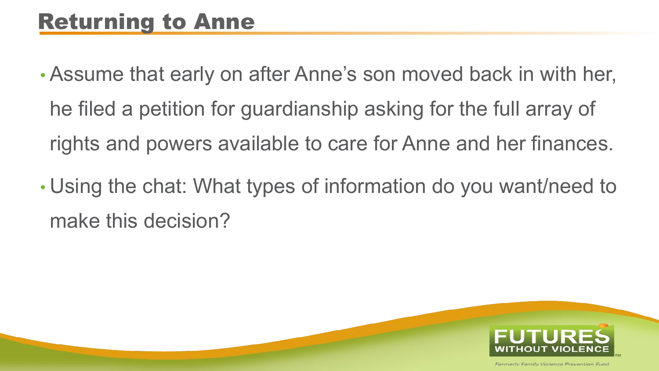- Assume that early on after Anne's son moved back in with her, he filed a petition for guardianship asking for the full array of rights and powers available to care for Anne and her finances.
- Using the chat: What types of information do you want/need to make this decision?

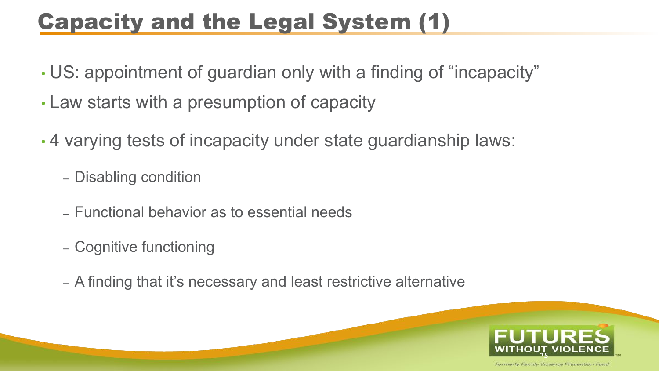### Capacity and the Legal System (1)

- US: appointment of guardian only with a finding of "incapacity"
- Law starts with a presumption of capacity
- 4 varying tests of incapacity under state guardianship laws:
	- Disabling condition
	- Functional behavior as to essential needs
	- Cognitive functioning
	- A finding that it's necessary and least restrictive alternative

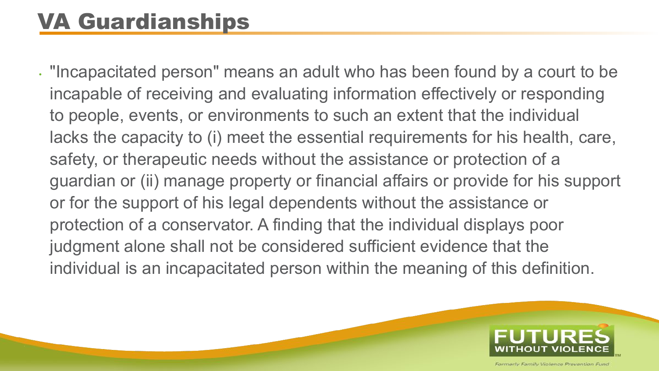### VA Guardianships

• "Incapacitated person" means an adult who has been found by a court to be incapable of receiving and evaluating information effectively or responding to people, events, or environments to such an extent that the individual lacks the capacity to (i) meet the essential requirements for his health, care, safety, or therapeutic needs without the assistance or protection of a guardian or (ii) manage property or financial affairs or provide for his support or for the support of his legal dependents without the assistance or protection of a conservator. A finding that the individual displays poor judgment alone shall not be considered sufficient evidence that the individual is an incapacitated person within the meaning of this definition.

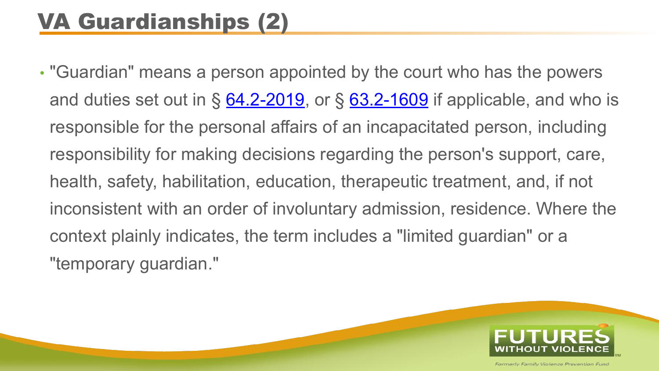### VA Guardianships (2)

• "Guardian" means a person appointed by the court who has the powers and duties set out in  $\S$  [64.2-2019](https://law.lis.virginia.gov/vacode/64.2-2019/), or  $\S$  [63.2-1609](https://law.lis.virginia.gov/vacode/63.2-1609/) if applicable, and who is responsible for the personal affairs of an incapacitated person, including responsibility for making decisions regarding the person's support, care, health, safety, habilitation, education, therapeutic treatment, and, if not inconsistent with an order of involuntary admission, residence. Where the context plainly indicates, the term includes a "limited guardian" or a "temporary guardian."

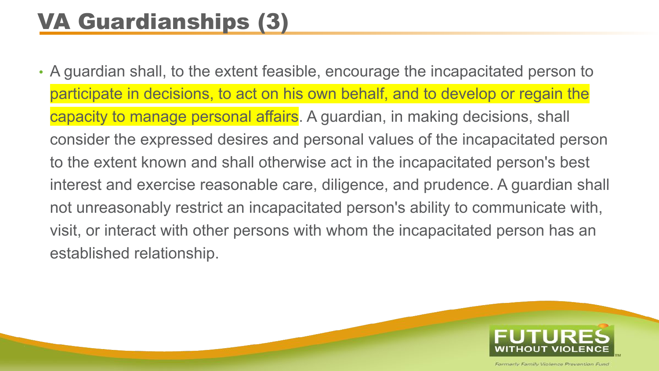## VA Guardianships (3)

• A guardian shall, to the extent feasible, encourage the incapacitated person to participate in decisions, to act on his own behalf, and to develop or regain the capacity to manage personal affairs. A guardian, in making decisions, shall consider the expressed desires and personal values of the incapacitated person to the extent known and shall otherwise act in the incapacitated person's best interest and exercise reasonable care, diligence, and prudence. A guardian shall not unreasonably restrict an incapacitated person's ability to communicate with, visit, or interact with other persons with whom the incapacitated person has an established relationship.

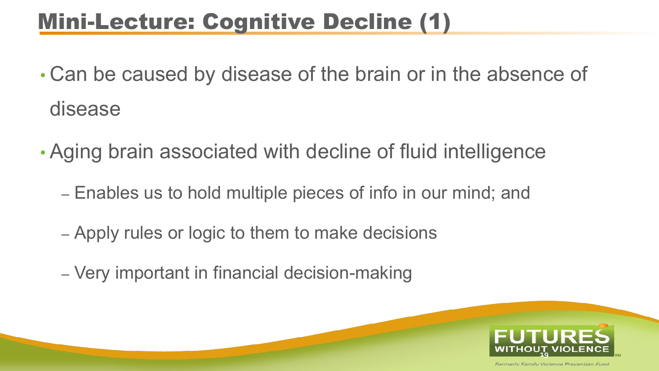#### Mini-Lecture: Cognitive Decline (1)

- Can be caused by disease of the brain or in the absence of disease
- Aging brain associated with decline of fluid intelligence
	- Enables us to hold multiple pieces of info in our mind; and
	- Apply rules or logic to them to make decisions
	- Very important in financial decision-making

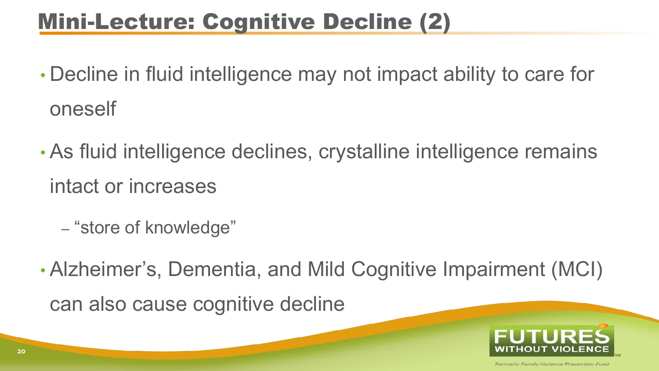#### Mini-Lecture: Cognitive Decline (2)

- Decline in fluid intelligence may not impact ability to care for oneself
- As fluid intelligence declines, crystalline intelligence remains intact or increases
	- "store of knowledge"
- Alzheimer's, Dementia, and Mild Cognitive Impairment (MCI) can also cause cognitive decline

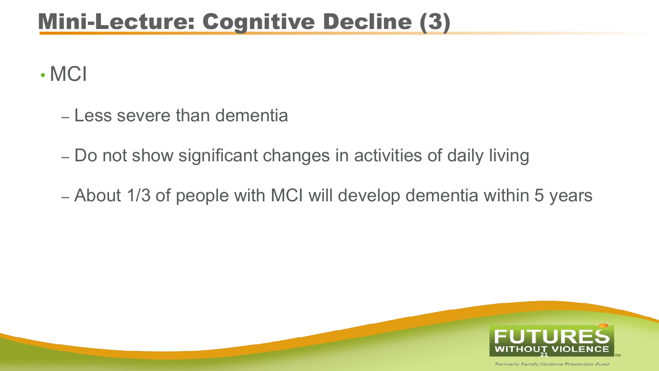#### Mini-Lecture: Cognitive Decline (3)

• MCI

- Less severe than dementia
- Do not show significant changes in activities of daily living
- About 1/3 of people with MCI will develop dementia within 5 years

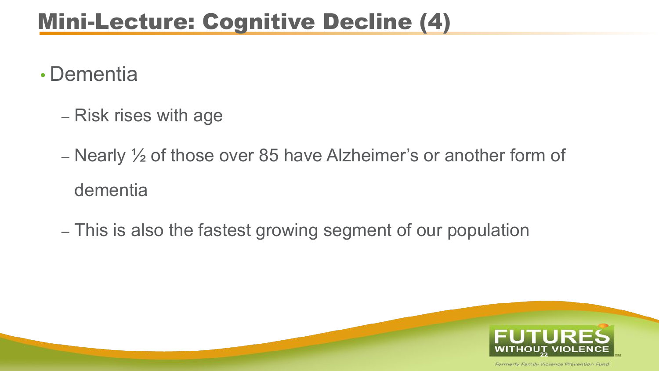#### Mini-Lecture: Cognitive Decline (4)

- Dementia
	- Risk rises with age
	- Nearly ½ of those over 85 have Alzheimer's or another form of dementia
	- This is also the fastest growing segment of our population

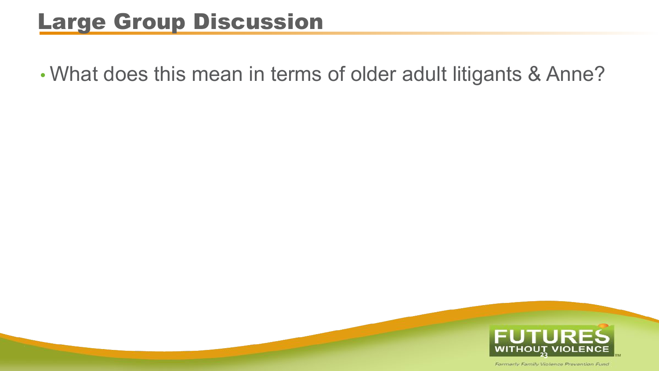#### Large Group Discussion

• What does this mean in terms of older adult litigants & Anne?

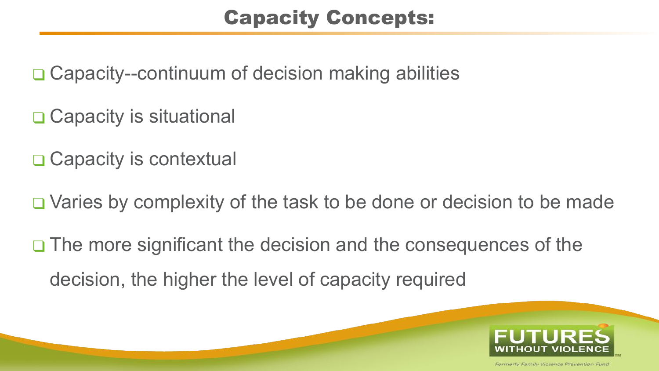#### Capacity Concepts:

❑ Capacity--continuum of decision making abilities

❑ Capacity is situational

□ Capacity is contextual

❑ Varies by complexity of the task to be done or decision to be made

❑ The more significant the decision and the consequences of the decision, the higher the level of capacity required

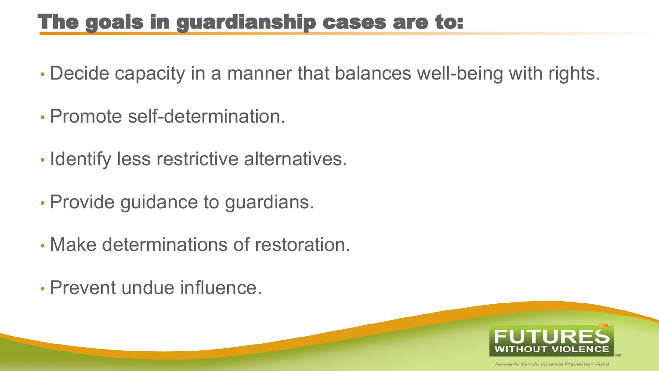#### The goals in guardianship cases are to:

- Decide capacity in a manner that balances well-being with rights.
- Promote self-determination.
- Identify less restrictive alternatives.
- Provide guidance to guardians.
- Make determinations of restoration.
- Prevent undue influence.

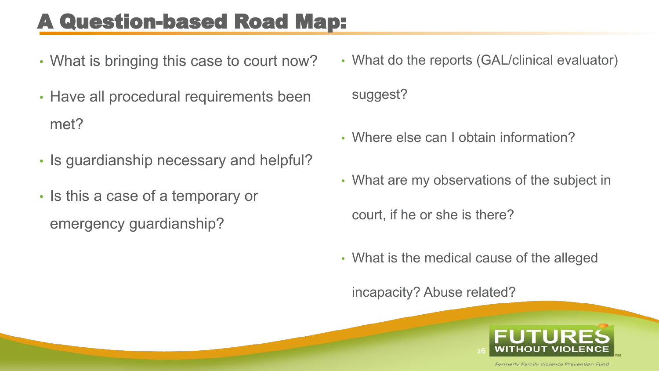#### A Question-based Road Map:

- What is bringing this case to court now?
- Have all procedural requirements been met?
- Is guardianship necessary and helpful?
- Is this a case of a temporary or emergency guardianship?
- What do the reports (GAL/clinical evaluator) suggest?
- Where else can I obtain information?
- What are my observations of the subject in

court, if he or she is there?

• What is the medical cause of the alleged

incapacity? Abuse related?

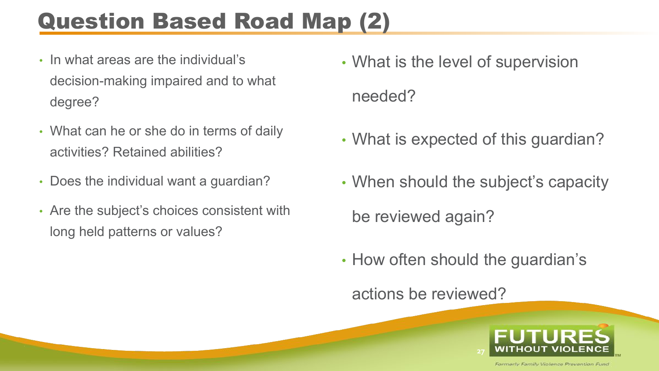## Question Based Road Map (2)

- In what areas are the individual's decision-making impaired and to what degree?
- What can he or she do in terms of daily activities? Retained abilities?
- Does the individual want a guardian?
- Are the subject's choices consistent with long held patterns or values?
- What is the level of supervision needed?
- What is expected of this guardian?
- When should the subject's capacity be reviewed again?
- How often should the guardian's

actions be reviewed?

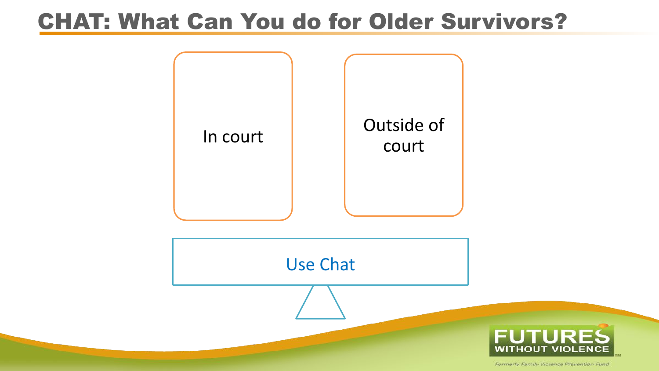#### CHAT: What Can You do for Older Survivors?

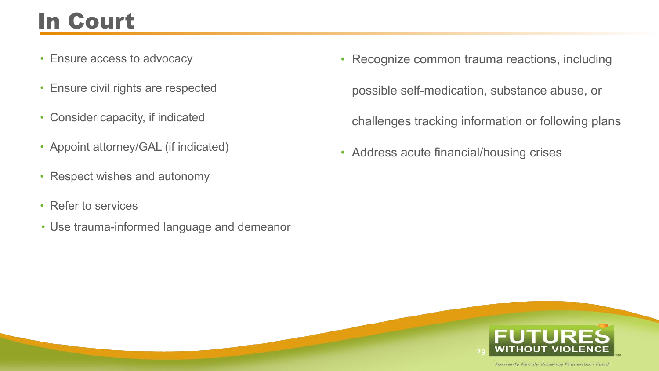# In Court

- Ensure access to advocacy
- Ensure civil rights are respected
- Consider capacity, if indicated
- Appoint attorney/GAL (if indicated)
- Respect wishes and autonomy
- Refer to services
- Use trauma-informed language and demeanor
- Recognize common trauma reactions, including possible self-medication, substance abuse, or challenges tracking information or following plans
- Address acute financial/housing crises

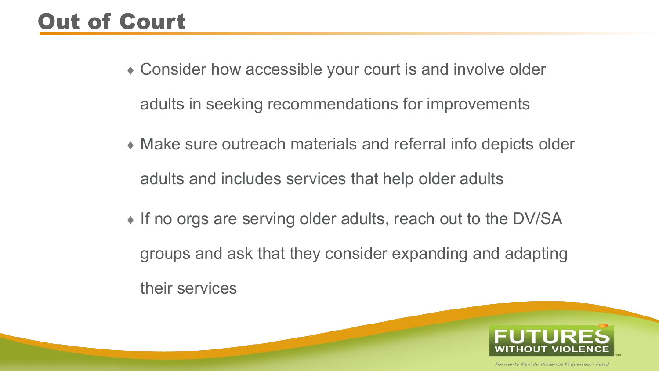## Out of Court

- ⬧ Consider how accessible your court is and involve older adults in seeking recommendations for improvements
- ⬧ Make sure outreach materials and referral info depicts older adults and includes services that help older adults
- ⬧ If no orgs are serving older adults, reach out to the DV/SA groups and ask that they consider expanding and adapting their services

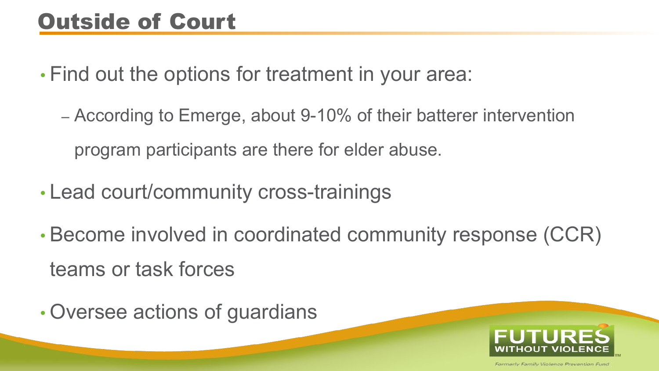#### Outside of Court

• Find out the options for treatment in your area:

- According to Emerge, about 9-10% of their batterer intervention program participants are there for elder abuse.
- Lead court/community cross-trainings
- Become involved in coordinated community response (CCR) teams or task forces
- Oversee actions of guardians